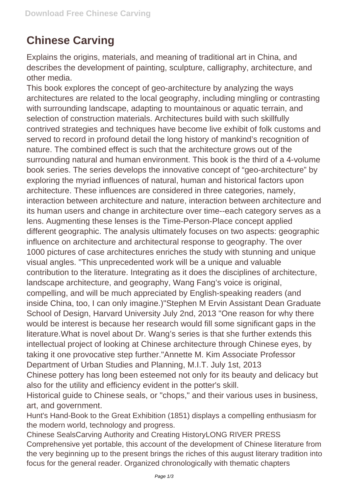## **Chinese Carving**

Explains the origins, materials, and meaning of traditional art in China, and describes the development of painting, sculpture, calligraphy, architecture, and other media.

This book explores the concept of geo-architecture by analyzing the ways architectures are related to the local geography, including mingling or contrasting with surrounding landscape, adapting to mountainous or aquatic terrain, and selection of construction materials. Architectures build with such skillfully contrived strategies and techniques have become live exhibit of folk customs and served to record in profound detail the long history of mankind's recognition of nature. The combined effect is such that the architecture grows out of the surrounding natural and human environment. This book is the third of a 4-volume book series. The series develops the innovative concept of "geo-architecture" by exploring the myriad influences of natural, human and historical factors upon architecture. These influences are considered in three categories, namely, interaction between architecture and nature, interaction between architecture and its human users and change in architecture over time--each category serves as a lens. Augmenting these lenses is the Time-Person-Place concept applied different geographic. The analysis ultimately focuses on two aspects: geographic influence on architecture and architectural response to geography. The over 1000 pictures of case architectures enriches the study with stunning and unique visual angles. "This unprecedented work will be a unique and valuable contribution to the literature. Integrating as it does the disciplines of architecture, landscape architecture, and geography, Wang Fang's voice is original, compelling, and will be much appreciated by English-speaking readers (and inside China, too, I can only imagine.)"Stephen M Ervin Assistant Dean Graduate School of Design, Harvard University July 2nd, 2013 "One reason for why there would be interest is because her research would fill some significant gaps in the literature.What is novel about Dr. Wang's series is that she further extends this intellectual project of looking at Chinese architecture through Chinese eyes, by taking it one provocative step further."Annette M. Kim Associate Professor Department of Urban Studies and Planning, M.I.T. July 1st, 2013

Chinese pottery has long been esteemed not only for its beauty and delicacy but also for the utility and efficiency evident in the potter's skill.

Historical guide to Chinese seals, or "chops," and their various uses in business, art, and government.

Hunt's Hand-Book to the Great Exhibition (1851) displays a compelling enthusiasm for the modern world, technology and progress.

Chinese SealsCarving Authority and Creating HistoryLONG RIVER PRESS Comprehensive yet portable, this account of the development of Chinese literature from the very beginning up to the present brings the riches of this august literary tradition into focus for the general reader. Organized chronologically with thematic chapters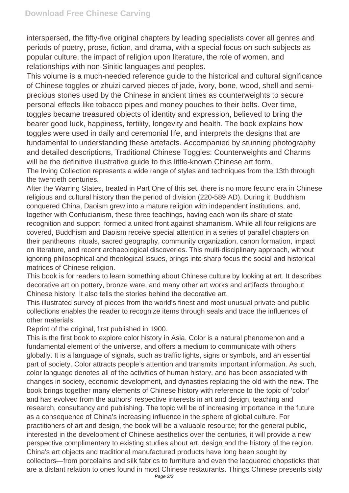interspersed, the fifty-five original chapters by leading specialists cover all genres and periods of poetry, prose, fiction, and drama, with a special focus on such subjects as popular culture, the impact of religion upon literature, the role of women, and relationships with non-Sinitic languages and peoples.

This volume is a much-needed reference guide to the historical and cultural significance of Chinese toggles or zhuizi carved pieces of jade, ivory, bone, wood, shell and semiprecious stones used by the Chinese in ancient times as counterweights to secure personal effects like tobacco pipes and money pouches to their belts. Over time, toggles became treasured objects of identity and expression, believed to bring the bearer good luck, happiness, fertility, longevity and health. The book explains how toggles were used in daily and ceremonial life, and interprets the designs that are fundamental to understanding these artefacts. Accompanied by stunning photography and detailed descriptions, Traditional Chinese Toggles: Counterweights and Charms will be the definitive illustrative guide to this little-known Chinese art form. The Irving Collection represents a wide range of styles and techniques from the 13th through the twentieth centuries.

After the Warring States, treated in Part One of this set, there is no more fecund era in Chinese religious and cultural history than the period of division (220-589 AD). During it, Buddhism conquered China, Daoism grew into a mature religion with independent institutions, and, together with Confucianism, these three teachings, having each won its share of state recognition and support, formed a united front against shamanism. While all four religions are covered, Buddhism and Daoism receive special attention in a series of parallel chapters on their pantheons, rituals, sacred geography, community organization, canon formation, impact on literature, and recent archaeological discoveries. This multi-disciplinary approach, without ignoring philosophical and theological issues, brings into sharp focus the social and historical matrices of Chinese religion.

This book is for readers to learn something about Chinese culture by looking at art. It describes decorative art on pottery, bronze ware, and many other art works and artifacts throughout Chinese history. It also tells the stories behind the decorative art.

This illustrated survey of pieces from the world's finest and most unusual private and public collections enables the reader to recognize items through seals and trace the influences of other materials.

Reprint of the original, first published in 1900.

This is the first book to explore color history in Asia. Color is a natural phenomenon and a fundamental element of the universe, and offers a medium to communicate with others globally. It is a language of signals, such as traffic lights, signs or symbols, and an essential part of society. Color attracts people's attention and transmits important information. As such, color language denotes all of the activities of human history, and has been associated with changes in society, economic development, and dynasties replacing the old with the new. The book brings together many elements of Chinese history with reference to the topic of 'color' and has evolved from the authors' respective interests in art and design, teaching and research, consultancy and publishing. The topic will be of increasing importance in the future as a consequence of China's increasing influence in the sphere of global culture. For practitioners of art and design, the book will be a valuable resource; for the general public, interested in the development of Chinese aesthetics over the centuries, it will provide a new perspective complimentary to existing studies about art, design and the history of the region. China's art objects and traditional manufactured products have long been sought by collectors—from porcelains and silk fabrics to furniture and even the lacquered chopsticks that are a distant relation to ones found in most Chinese restaurants. Things Chinese presents sixty